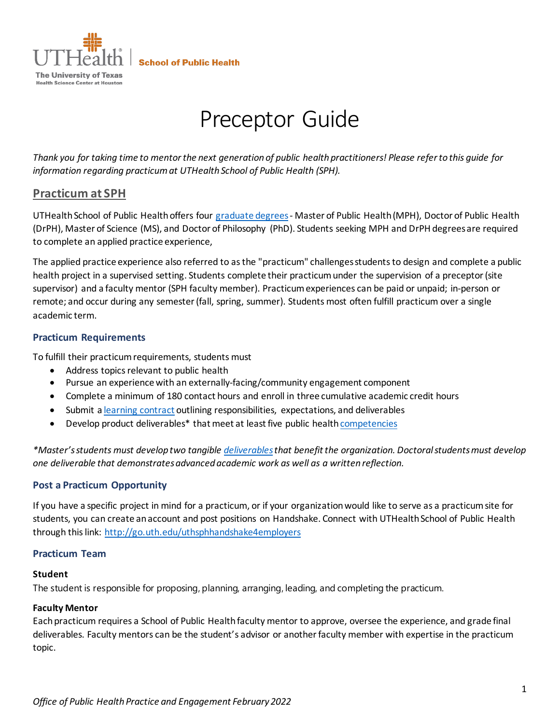

**School of Public Health** 

# Preceptor Guide

*Thank you for taking time to mentor the next generation of public health practitioners! Please refer to this guide for information regarding practicum at UTHealth School of Public Health (SPH).*

#### **Practicum at SPH**

UTHealth School of Public Health offers four [graduate degrees](#page-2-0)- Master of Public Health (MPH), Doctor of Public Health (DrPH), Master of Science (MS), and Doctor of Philosophy (PhD). Students seeking MPH and DrPH degrees are required to complete an applied practice experience,

The applied practice experience also referred to as the "practicum" challenges students to design and complete a public health project in a supervised setting. Students complete their practicum under the supervision of a preceptor (site supervisor) and a faculty mentor (SPH faculty member). Practicum experiences can be paid or unpaid; in-person or remote; and occur during any semester (fall, spring, summer). Students most often fulfill practicum over a single academic term.

#### **Practicum Requirements**

To fulfill their practicum requirements, students must

- Address topics relevant to public health
- Pursue an experience with an externally-facing/community engagement component
- Complete a minimum of 180 contact hours and enroll in three cumulative academic credit hours
- Submit a [learning contract](#page-1-0) outlining responsibilities, expectations, and deliverables
- Develop product deliverables<sup>\*</sup> that meet at least five public healt[h competencies](#page-4-0)

*\*Master'sstudents must develop two tangibl[e deliverables](#page-1-1)that benefit the organization. Doctoralstudentsmust develop one deliverable that demonstrates advanced academic work as well as a written reflection.*

#### **Post a Practicum Opportunity**

If you have a specific project in mind for a practicum, or if your organization would like to serve as a practicum site for students, you can create an account and post positions on Handshake. Connect with UTHealth School of Public Health through this link:<http://go.uth.edu/uthsphhandshake4employers>

#### **Practicum Team**

#### **Student**

The student is responsible for proposing, planning, arranging, leading, and completing the practicum.

#### **Faculty Mentor**

Each practicum requires a School of Public Health faculty mentor to approve, oversee the experience, and grade final deliverables. Faculty mentors can be the student's advisor or another faculty member with expertise in the practicum topic.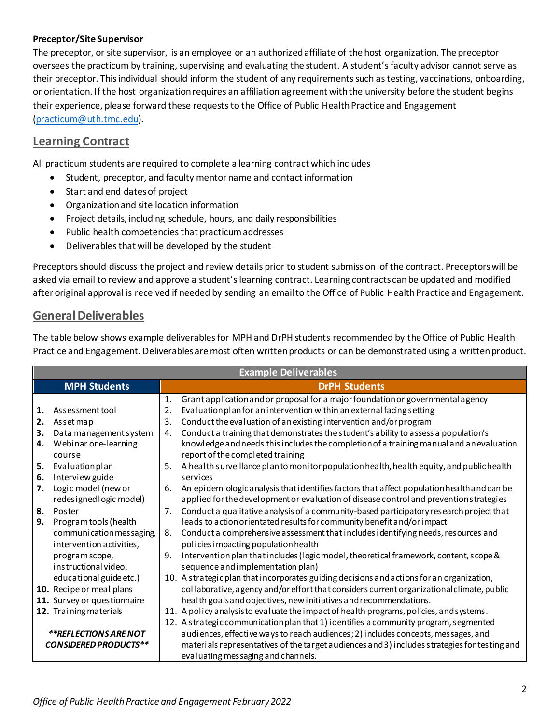#### **Preceptor/Site Supervisor**

The preceptor, or site supervisor, is an employee or an authorized affiliate of the host organization. The preceptor oversees the practicum by training, supervising and evaluating the student. A student'sfaculty advisor cannot serve as their preceptor. This individual should inform the student of any requirements such as testing, vaccinations, onboarding, or orientation. If the host organization requires an affiliation agreement with the university before the student begins their experience, please forward these requests to the Office of Public Health Practice and Engagement [\(practicum@uth.tmc.edu](mailto:practicum@uth.tmc.edu)).

## <span id="page-1-0"></span>**Learning Contract**

All practicum students are required to complete a learning contract which includes

- Student, preceptor, and faculty mentor name and contact information
- Start and end dates of project
- Organization and site location information
- Project details, including schedule, hours, and daily responsibilities
- Public health competencies that practicum addresses
- Deliverables that will be developed by the student

Preceptors should discuss the project and review details prior to student submission of the contract. Preceptors will be asked via email to review and approve a student's learning contract. Learning contracts can be updated and modified after original approval is received if needed by sending an email to the Office of Public Health Practice and Engagement.

## <span id="page-1-1"></span>**General Deliverables**

The table below shows example deliverablesfor MPH and DrPH students recommended by the Office of Public Health Practice and Engagement. Deliverables are most often written products or can be demonstrated using a written product.

|                                     | <b>Example Deliverables</b>                    |    |                                                                                                                                                                                      |  |  |  |
|-------------------------------------|------------------------------------------------|----|--------------------------------------------------------------------------------------------------------------------------------------------------------------------------------------|--|--|--|
|                                     | <b>MPH Students</b>                            |    | <b>DrPH Students</b>                                                                                                                                                                 |  |  |  |
|                                     |                                                | 1. | Grant application and or proposal for a major foundation or governmental agency                                                                                                      |  |  |  |
| 1.                                  | As sessment tool                               | 2. | Evaluation plan for an intervention within an external facing setting                                                                                                                |  |  |  |
| 2.                                  | Asset map                                      | 3. | Conduct the evaluation of an existing intervention and/or program                                                                                                                    |  |  |  |
| 3.                                  | Data management system                         | 4. | Conduct a training that demonstrates the student's ability to assess a population's                                                                                                  |  |  |  |
| 4.                                  | Webinar or e-learning<br>course                |    | knowledge and needs this includes the completion of a training manual and an evaluation<br>report of the completed training                                                          |  |  |  |
| 5.<br>6.                            | Evaluationplan<br>Interview guide              | 5. | A health surveillance plan to monitor population health, health equity, and public health<br>services                                                                                |  |  |  |
| 7.                                  | Logic model (new or<br>redesigned logic model) | 6. | An epidemiologic analysis that identifies factors that affect population health and can be<br>applied for the development or evaluation of disease control and prevention strategies |  |  |  |
| 8.                                  | Poster                                         | 7. | Conduct a qualitative analysis of a community-based participatory research project that                                                                                              |  |  |  |
| 9.                                  | Program tools (health                          |    | leads to action orientated results for community benefit and/or impact                                                                                                               |  |  |  |
|                                     | communication messaging,                       | 8. | Conduct a comprehensive assessment that includes identifying needs, resources and                                                                                                    |  |  |  |
|                                     | intervention activities,                       |    | policies impacting population health                                                                                                                                                 |  |  |  |
|                                     | program scope,<br>instructional video,         | 9. | Intervention plan that includes (logic model, theoretical framework, content, scope &<br>sequence and implementation plan)                                                           |  |  |  |
|                                     | educational guide etc.)                        |    | 10. A strategic plan that incorporates guiding decisions and actions for an organization,                                                                                            |  |  |  |
|                                     | 10. Recipe or meal plans                       |    | collaborative, agency and/or effort that considers current organizational climate, public                                                                                            |  |  |  |
|                                     | 11. Survey or questionnaire                    |    | health goals and objectives, new initiatives and recommendations.                                                                                                                    |  |  |  |
|                                     | 12. Training materials                         |    | 11. A policy analysisto evaluate the impact of health programs, policies, and systems.                                                                                               |  |  |  |
|                                     |                                                |    | 12. A strategic communication plan that 1) identifies a community program, segmented                                                                                                 |  |  |  |
| <i><b>**REFLECTIONS ARE NOT</b></i> |                                                |    | audiences, effective ways to reach audiences; 2) includes concepts, messages, and                                                                                                    |  |  |  |
| <b>CONSIDERED PRODUCTS**</b>        |                                                |    | materials representatives of the target audiences and 3) includes strategies for testing and                                                                                         |  |  |  |
|                                     |                                                |    | evaluating messaging and channels.                                                                                                                                                   |  |  |  |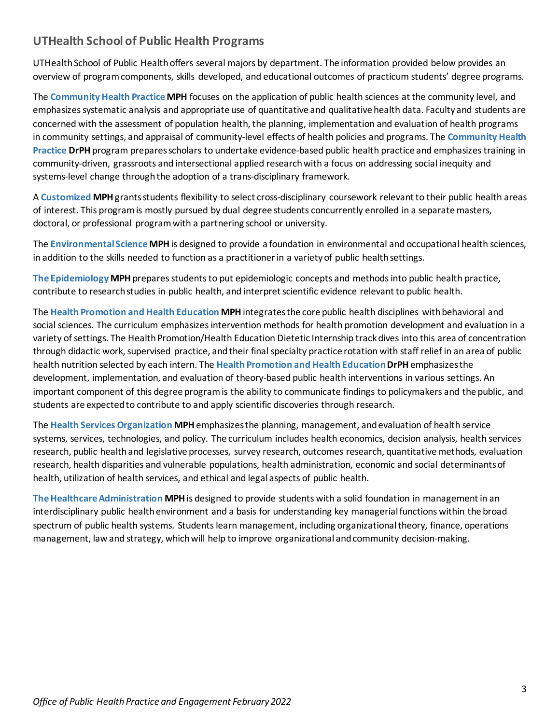## <span id="page-2-0"></span>**UTHealth School of Public Health Programs**

UTHealth School of Public Health offers several majors by department. The information provided below provides an overview of program components, skills developed, and educational outcomes of practicum students' degree programs.

The **Community Health PracticeMPH** focuses on the application of public health sciences at the community level, and emphasizes systematic analysis and appropriate use of quantitative and qualitative health data. Faculty and students are concerned with the assessment of population health, the planning, implementation and evaluation of health programs in community settings, and appraisal of community-level effects of health policies and programs. The **Community Health Practice DrPH**program prepares scholars to undertake evidence-based public health practice and emphasizes training in community-driven, grassroots and intersectional applied research with a focus on addressing social inequity and systems-level change through the adoption of a trans-disciplinary framework.

A **Customized MPH**grants students flexibility to select cross-disciplinary coursework relevant to their public health areas of interest. This program is mostly pursued by dual degree students concurrently enrolled in a separate masters, doctoral, or professional program with a partnering school or university.

The **Environmental ScienceMPH**is designed to provide a foundation in environmental and occupational health sciences, in addition to the skills needed to function as a practitioner in a variety of public health settings.

**The Epidemiology MPH**prepares students to put epidemiologic concepts and methods into public health practice, contribute to research studies in public health, and interpret scientific evidence relevant to public health.

The **Health Promotion and Health Education MPH**integrates the core public health disciplines with behavioral and social sciences. The curriculum emphasizes intervention methods for health promotion development and evaluation in a variety of settings. The Health Promotion/Health Education Dietetic Internship track dives into this area of concentration through didactic work, supervised practice, and their final specialty practice rotation with staff relief in an area of public health nutrition selected by each intern. The **Health Promotion and Health EducationDrPH**emphasizes the development, implementation, and evaluation of theory-based public health interventions in various settings. An important component of this degree program is the ability to communicate findings to policymakers and the public, and students are expected to contribute to and apply scientific discoveries through research.

The **Health Services Organization MPH**emphasizes the planning, management, and evaluation of health service systems, services, technologies, and policy. The curriculum includes health economics, decision analysis, health services research, public health and legislative processes, survey research, outcomes research, quantitative methods, evaluation research, health disparities and vulnerable populations, health administration, economic and social determinants of health, utilization of health services, and ethical and legal aspects of public health.

**The Healthcare Administration MPH**is designed to provide students with a solid foundation in management in an interdisciplinary public health environment and a basis for understanding key managerial functions within the broad spectrum of public health systems. Students learn management, including organizational theory, finance, operations management, law and strategy, which will help to improve organizational and community decision-making.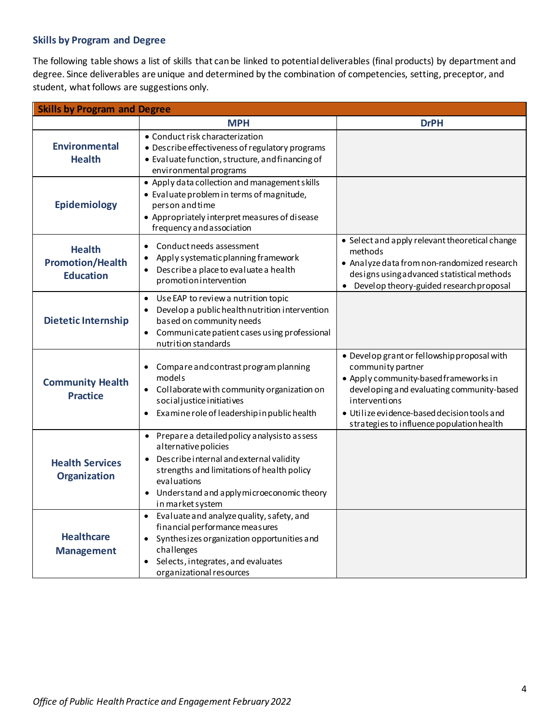#### **Skills by Program and Degree**

The following table shows a list of skills that can be linked to potentialdeliverables (final products) by department and degree. Since deliverables are unique and determined by the combination of competencies, setting, preceptor, and student, what follows are suggestions only.

| <b>Skills by Program and Degree</b>                          |                                                                                                                                                                                                                                                             |                                                                                                                                                                                                                                                                     |  |  |  |
|--------------------------------------------------------------|-------------------------------------------------------------------------------------------------------------------------------------------------------------------------------------------------------------------------------------------------------------|---------------------------------------------------------------------------------------------------------------------------------------------------------------------------------------------------------------------------------------------------------------------|--|--|--|
|                                                              | <b>MPH</b>                                                                                                                                                                                                                                                  | <b>DrPH</b>                                                                                                                                                                                                                                                         |  |  |  |
| <b>Environmental</b><br><b>Health</b>                        | • Conduct risk characterization<br>• Describe effectiveness of regulatory programs<br>· Evaluate function, structure, and financing of<br>environmental programs                                                                                            |                                                                                                                                                                                                                                                                     |  |  |  |
| Epidemiology                                                 | • Apply data collection and management skills<br>• Evaluate problem in terms of magnitude,<br>person and time<br>• Appropriately interpret measures of disease<br>frequency and association                                                                 |                                                                                                                                                                                                                                                                     |  |  |  |
| <b>Health</b><br><b>Promotion/Health</b><br><b>Education</b> | Conduct needs assessment<br>$\bullet$<br>Apply systematic planning framework<br>Describe a place to evaluate a health<br>$\bullet$<br>promotion intervention                                                                                                | • Select and apply relevant theoretical change<br>methods<br>• Analyze data from non-randomized research<br>designs using a dvanced statistical methods<br>Develop theory-guided research proposal                                                                  |  |  |  |
| <b>Dietetic Internship</b>                                   | Use EAP to review a nutrition topic<br>$\bullet$<br>Develop a public health nutrition intervention<br>based on community needs<br>• Communicate patient cases using professional<br>nutrition standards                                                     |                                                                                                                                                                                                                                                                     |  |  |  |
| <b>Community Health</b><br><b>Practice</b>                   | Compare and contrast program planning<br>models<br>Collaborate with community organization on<br>social justice initiatives<br>Examine role of leadership in public health                                                                                  | • Develop grant or fellowship proposal with<br>community partner<br>• Apply community-based frameworks in<br>developing and evaluating community-based<br>interventions<br>· Utilize evidence-based decision tools and<br>strategies to influence population health |  |  |  |
| <b>Health Services</b><br><b>Organization</b>                | Prepare a detailed policy analysisto assess<br>$\bullet$<br>alternative policies<br>• Describe internal and external validity<br>strengths and limitations of health policy<br>evaluations<br>Understand and apply microeconomic theory<br>in market system |                                                                                                                                                                                                                                                                     |  |  |  |
| <b>Healthcare</b><br><b>Management</b>                       | Evaluate and analyze quality, safety, and<br>$\bullet$<br>financial performance measures<br>Synthesizes organization opportunities and<br>challenges<br>Selects, integrates, and evaluates<br>organizational resources                                      |                                                                                                                                                                                                                                                                     |  |  |  |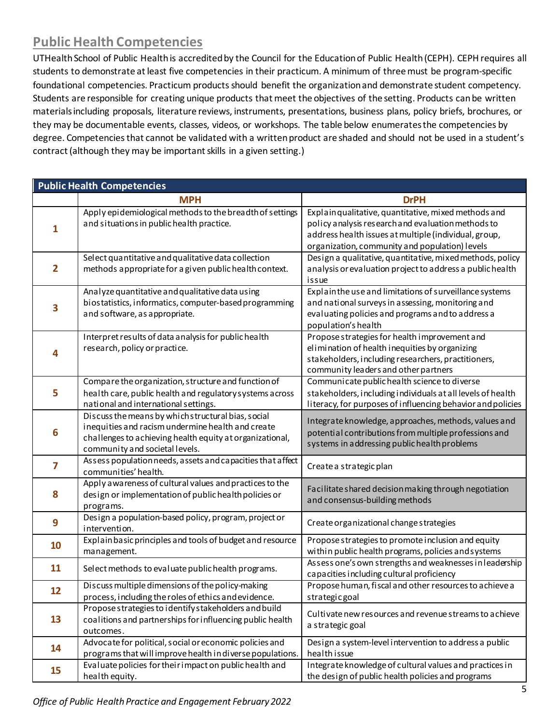# <span id="page-4-0"></span>**Public Health Competencies**

UTHealth School of Public Health is accredited by the Council for the Education of Public Health (CEPH). CEPH requires all students to demonstrate at least five competencies in their practicum. A minimum of three must be program-specific foundational competencies. Practicum products should benefit the organization and demonstrate student competency. Students are responsible for creating unique products that meet the objectives of the setting. Products can be written materials including proposals, literature reviews, instruments, presentations, business plans, policy briefs, brochures, or they may be documentable events, classes, videos, or workshops. The table below enumerates the competencies by degree. Competencies that cannot be validated with a written product are shaded and should not be used in a student's contract (although they may be important skills in a given setting.)

| <b>Public Health Competencies</b> |                                                                                                                                                                                                       |                                                                                                                                                                                                                       |  |  |  |  |  |
|-----------------------------------|-------------------------------------------------------------------------------------------------------------------------------------------------------------------------------------------------------|-----------------------------------------------------------------------------------------------------------------------------------------------------------------------------------------------------------------------|--|--|--|--|--|
|                                   | <b>MPH</b>                                                                                                                                                                                            | <b>DrPH</b>                                                                                                                                                                                                           |  |  |  |  |  |
| 1                                 | Apply epidemiological methods to the breadth of settings<br>and situations in public health practice.                                                                                                 | Explain qualitative, quantitative, mixed methods and<br>policy analysis research and evaluation methods to<br>address health issues at multiple (individual, group,<br>organization, community and population) levels |  |  |  |  |  |
| $\overline{2}$                    | Select quantitative and qualitative data collection<br>methods appropriate for a given public health context.                                                                                         | Design a qualitative, quantitative, mixed methods, policy<br>analysis or evaluation project to address a public health<br>issue                                                                                       |  |  |  |  |  |
| 3                                 | Analyze quantitative and qualitative data using<br>biostatistics, informatics, computer-based programming<br>and software, as appropriate.                                                            | Explain the use and limitations of surveillance systems<br>and national surveys in assessing, monitoring and<br>evaluating policies and programs and to address a<br>population's health                              |  |  |  |  |  |
| 4                                 | Interpret results of data analysis for public health<br>research, policy or practice.                                                                                                                 | Propose strategies for health improvement and<br>elimination of health inequities by organizing<br>stakeholders, including researchers, practitioners,<br>community leaders and other partners                        |  |  |  |  |  |
| 5                                 | Compare the organization, structure and function of<br>health care, public health and regulatory systems across<br>national and international settings.                                               | Communicate public health science to diverse<br>stakeholders, including individuals at all levels of health<br>literacy, for purposes of influencing behavior and policies                                            |  |  |  |  |  |
| 6                                 | Discuss the means by which structural bias, social<br>inequities and racism undermine health and create<br>challenges to achieving health equity at organizational,<br>community and societal levels. | Integrate knowledge, approaches, methods, values and<br>potential contributions from multiple professions and<br>systems in addressing public health problems                                                         |  |  |  |  |  |
| 7                                 | Assess population needs, assets and capacities that affect<br>communities' health.                                                                                                                    | Create a strategic plan                                                                                                                                                                                               |  |  |  |  |  |
| 8                                 | Apply a wareness of cultural values and practices to the<br>design or implementation of public health policies or<br>programs.                                                                        | Facilitate shared decision making through negotiation<br>and consensus-building methods                                                                                                                               |  |  |  |  |  |
| 9                                 | Design a population-based policy, program, project or<br>intervention.                                                                                                                                | Create organizational change strategies                                                                                                                                                                               |  |  |  |  |  |
| 10                                | Explain basic principles and tools of budget and resource<br>management.                                                                                                                              | Propose strategies to promote inclusion and equity<br>within public health programs, policies and systems                                                                                                             |  |  |  |  |  |
| <b>11</b>                         | Select methods to evaluate public health programs.                                                                                                                                                    | Assess one's own strengths and weaknesses in leadership<br>capacities including cultural proficiency                                                                                                                  |  |  |  |  |  |
| <u>12</u>                         | Discuss multiple dimensions of the policy-making<br>process, including the roles of ethics and evidence.                                                                                              | Propose human, fiscal and other resources to achieve a<br>strategic goal                                                                                                                                              |  |  |  |  |  |
| 13                                | Propose strategies to identify stakeholders and build<br>coalitions and partnerships for influencing public health<br>outcomes.                                                                       | Cultivate new resources and revenue streams to achieve<br>a strategic goal                                                                                                                                            |  |  |  |  |  |
| 14                                | Advocate for political, social or economic policies and<br>programs that will improve health in diverse populations.                                                                                  | Design a system-level intervention to address a public<br>health issue                                                                                                                                                |  |  |  |  |  |
| 15                                | Evaluate policies for their impact on public health and<br>health equity.                                                                                                                             | Integrate knowledge of cultural values and practices in<br>the design of public health policies and programs                                                                                                          |  |  |  |  |  |